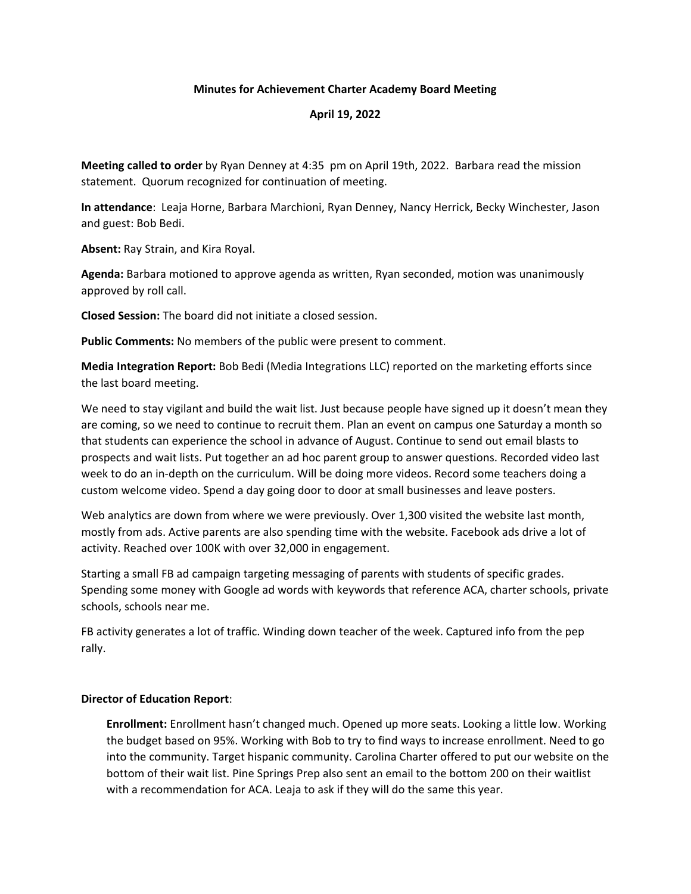## **Minutes for Achievement Charter Academy Board Meeting**

## **April 19, 2022**

**Meeting called to order** by Ryan Denney at 4:35 pm on April 19th, 2022. Barbara read the mission statement. Quorum recognized for continuation of meeting.

**In attendance**: Leaja Horne, Barbara Marchioni, Ryan Denney, Nancy Herrick, Becky Winchester, Jason and guest: Bob Bedi.

**Absent:** Ray Strain, and Kira Royal.

**Agenda:** Barbara motioned to approve agenda as written, Ryan seconded, motion was unanimously approved by roll call.

**Closed Session:** The board did not initiate a closed session.

**Public Comments:** No members of the public were present to comment.

**Media Integration Report:** Bob Bedi (Media Integrations LLC) reported on the marketing efforts since the last board meeting.

We need to stay vigilant and build the wait list. Just because people have signed up it doesn't mean they are coming, so we need to continue to recruit them. Plan an event on campus one Saturday a month so that students can experience the school in advance of August. Continue to send out email blasts to prospects and wait lists. Put together an ad hoc parent group to answer questions. Recorded video last week to do an in-depth on the curriculum. Will be doing more videos. Record some teachers doing a custom welcome video. Spend a day going door to door at small businesses and leave posters.

Web analytics are down from where we were previously. Over 1,300 visited the website last month, mostly from ads. Active parents are also spending time with the website. Facebook ads drive a lot of activity. Reached over 100K with over 32,000 in engagement.

Starting a small FB ad campaign targeting messaging of parents with students of specific grades. Spending some money with Google ad words with keywords that reference ACA, charter schools, private schools, schools near me.

FB activity generates a lot of traffic. Winding down teacher of the week. Captured info from the pep rally.

## **Director of Education Report**:

**Enrollment:** Enrollment hasn't changed much. Opened up more seats. Looking a little low. Working the budget based on 95%. Working with Bob to try to find ways to increase enrollment. Need to go into the community. Target hispanic community. Carolina Charter offered to put our website on the bottom of their wait list. Pine Springs Prep also sent an email to the bottom 200 on their waitlist with a recommendation for ACA. Leaja to ask if they will do the same this year.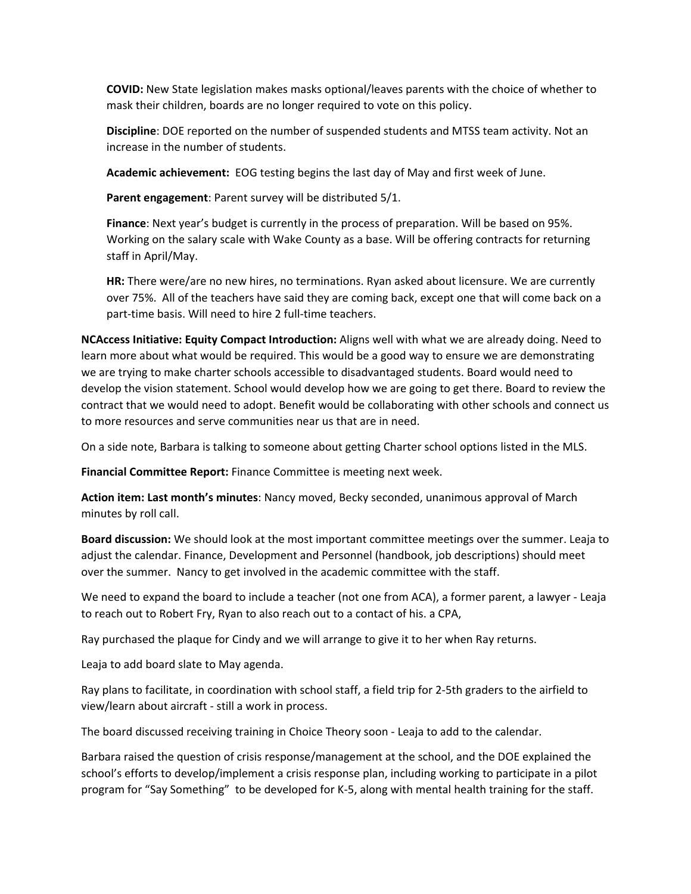**COVID:** New State legislation makes masks optional/leaves parents with the choice of whether to mask their children, boards are no longer required to vote on this policy.

**Discipline**: DOE reported on the number of suspended students and MTSS team activity. Not an increase in the number of students.

**Academic achievement:** EOG testing begins the last day of May and first week of June.

**Parent engagement**: Parent survey will be distributed 5/1.

**Finance**: Next year's budget is currently in the process of preparation. Will be based on 95%. Working on the salary scale with Wake County as a base. Will be offering contracts for returning staff in April/May.

**HR:** There were/are no new hires, no terminations. Ryan asked about licensure. We are currently over 75%. All of the teachers have said they are coming back, except one that will come back on a part-time basis. Will need to hire 2 full-time teachers.

**NCAccess Initiative: Equity Compact Introduction:** Aligns well with what we are already doing. Need to learn more about what would be required. This would be a good way to ensure we are demonstrating we are trying to make charter schools accessible to disadvantaged students. Board would need to develop the vision statement. School would develop how we are going to get there. Board to review the contract that we would need to adopt. Benefit would be collaborating with other schools and connect us to more resources and serve communities near us that are in need.

On a side note, Barbara is talking to someone about getting Charter school options listed in the MLS.

**Financial Committee Report:** Finance Committee is meeting next week.

**Action item: Last month's minutes**: Nancy moved, Becky seconded, unanimous approval of March minutes by roll call.

**Board discussion:** We should look at the most important committee meetings over the summer. Leaja to adjust the calendar. Finance, Development and Personnel (handbook, job descriptions) should meet over the summer. Nancy to get involved in the academic committee with the staff.

We need to expand the board to include a teacher (not one from ACA), a former parent, a lawyer - Leaja to reach out to Robert Fry, Ryan to also reach out to a contact of his. a CPA,

Ray purchased the plaque for Cindy and we will arrange to give it to her when Ray returns.

Leaja to add board slate to May agenda.

Ray plans to facilitate, in coordination with school staff, a field trip for 2-5th graders to the airfield to view/learn about aircraft - still a work in process.

The board discussed receiving training in Choice Theory soon - Leaja to add to the calendar.

Barbara raised the question of crisis response/management at the school, and the DOE explained the school's efforts to develop/implement a crisis response plan, including working to participate in a pilot program for "Say Something" to be developed for K-5, along with mental health training for the staff.